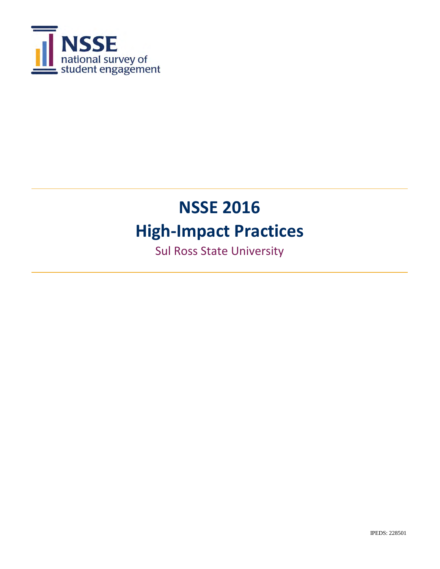

# **NSSE 2016 High-Impact Practices**

Sul Ross State University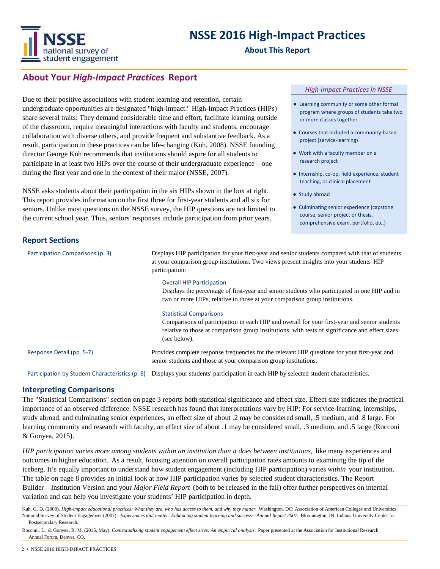

## **About Your** *High-Impact Practices* **Report**

Due to their positive associations with student learning and retention, certain undergraduate opportunities are designated "high-impact." High-Impact Practices (HIPs) share several traits: They demand considerable time and effort, facilitate learning outside of the classroom, require meaningful interactions with faculty and students, encourage collaboration with diverse others, and provide frequent and substantive feedback. As a result, participation in these practices can be life-changing (Kuh, 2008). NSSE founding director George Kuh recommends that institutions should aspire for all students to participate in at least two HIPs over the course of their undergraduate experience—one during the first year and one in the context of their major (NSSE, 2007).

NSSE asks students about their participation in the six HIPs shown in the box at right. This report provides information on the first three for first-year students and all six for seniors. Unlike most questions on the NSSE survey, the HIP questions are not limited to the current school year. Thus, seniors' responses include participation from prior years.

#### *High-Impact Practices in NSSE*

- Learning community or some other formal program where groups of students take two or more classes together
- Courses that included a community-based project (service-learning)
- Work with a faculty member on a research project
- Internship, co-op, field experience, student teaching, or clinical placement
- Study abroad
- Culminating senior experience (capstone course, senior project or thesis, comprehensive exam, portfolio, etc.)

## **Report Sections**

| Participation Comparisons (p. 3) | Displays HIP participation for your first-year and senior students compared with that of students<br>at your comparison group institutions. Two views present insights into your students' HIP<br>participation:                                  |
|----------------------------------|---------------------------------------------------------------------------------------------------------------------------------------------------------------------------------------------------------------------------------------------------|
|                                  | <b>Overall HIP Participation</b><br>Displays the percentage of first-year and senior students who participated in one HIP and in<br>two or more HIPs, relative to those at your comparison group institutions.                                    |
|                                  | <b>Statistical Comparisons</b><br>Comparisons of participation in each HIP and overall for your first-year and senior students<br>relative to those at comparison group institutions, with tests of significance and effect sizes<br>(see below). |
| Response Detail (pp. 5-7)        | Provides complete response frequencies for the relevant HIP questions for your first-year and<br>senior students and those at your comparison group institutions.                                                                                 |

Participation by Student Characteristics (p. 8) Displays your students' participation in each HIP by selected student characteristics.

### **Interpreting Comparisons**

The "Statistical Comparisons" section on page 3 reports both statistical significance and effect size. Effect size indicates the practical importance of an observed difference. NSSE research has found that interpretations vary by HIP: For service-learning, internships, study abroad, and culminating senior experiences, an effect size of about .2 may be considered small, .5 medium, and .8 large. For learning community and research with faculty, an effect size of about .1 may be considered small, .3 medium, and .5 large (Rocconi & Gonyea, 2015).

*HIP participation varies more among students within an institution than it does between institutions,* like many experiences and outcomes in higher education. As a result, focusing attention on overall participation rates amounts to examining the tip of the iceberg. It's equally important to understand how student engagement (including HIP participation) varies *within* your institution. The table on page 8 provides an initial look at how HIP participation varies by selected student characteristics. The Report Builder—Institution Version and your *Major Field Report* (both to be released in the fall) offer further perspectives on internal variation and can help you investigate your students' HIP participation in depth.

Kuh, G. D. (2008). *High-impact educational practices: What they are, who has access to them, and why they matter.* Washington, DC: Association of American Colleges and Universities. National Survey of Student Engagement (2007). Experiences that matter: Enhancing student learning and success-Annual Report 2007. Bloomington, IN: Indiana University Center for Postsecondary Research.

Rocconi, L., & Gonyea, R. M. (2015, May). *Contextualizing student engagement effect sizes: An empirical analysis.* Paper presented at the Association for Institutional Research Annual Forum, Denver, CO.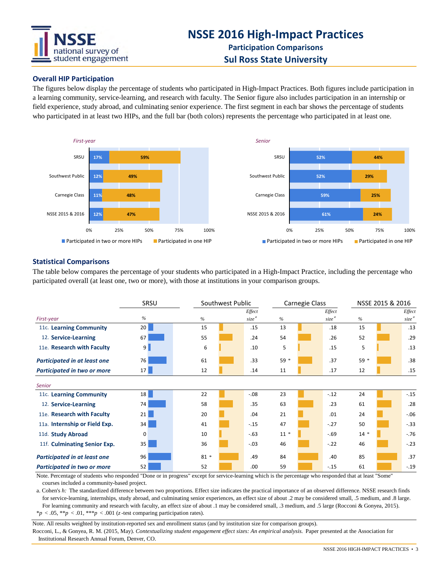

**Participation Comparisons Sul Ross State University**

## **Overall HIP Participation**

The figures below display the percentage of students who participated in High-Impact Practices. Both figures include participation in a learning community, service-learning, and research with faculty. The Senior figure also includes participation in an internship or field experience, study abroad, and culminating senior experience. The first segment in each bar shows the percentage of students who participated in at least two HIPs, and the full bar (both colors) represents the percentage who participated in at least one.



## **Statistical Comparisons**

The table below compares the percentage of your students who participated in a High-Impact Practice, including the percentage who participated overall (at least one, two or more), with those at institutions in your comparison groups.

|                                    | SRSU          |               | Southwest Public  |        |  | <b>Carnegie Class</b> |        |  | NSSE 2015 & 2016  |  |  |
|------------------------------------|---------------|---------------|-------------------|--------|--|-----------------------|--------|--|-------------------|--|--|
|                                    |               |               | Effect            |        |  | Effect                |        |  | Effect            |  |  |
| First-year                         | $\frac{0}{6}$ | $\frac{9}{6}$ | size <sup>a</sup> | $\%$   |  | size <sup>a</sup>     | $\%$   |  | size <sup>a</sup> |  |  |
| 11c. Learning Community            | 20            | 15            | .15               | 13     |  | .18                   | 15     |  | .13               |  |  |
| 12. Service-Learning               | 67            | 55            | .24               | 54     |  | .26                   | 52     |  | .29               |  |  |
| 11e. Research with Faculty         | 9             | 6             | .10               | 5      |  | .15                   | 5      |  | .13               |  |  |
| Participated in at least one       | 76            | 61            | .33               | 59 *   |  | .37                   | 59 *   |  | .38               |  |  |
| Participated in two or more        | 17            | 12            | .14               | 11     |  | .17                   | 12     |  | .15               |  |  |
| <b>Senior</b>                      |               |               |                   |        |  |                       |        |  |                   |  |  |
| 11c. Learning Community            | 18            | 22            | $-.08$            | 23     |  | $-.12$                | 24     |  | $-.15$            |  |  |
| 12. Service-Learning               | 74            | 58            | .35               | 63     |  | .23                   | 61     |  | .28               |  |  |
| 11e. Research with Faculty         | 21            | 20            | .04               | 21     |  | .01                   | 24     |  | $-.06$            |  |  |
| 11a. Internship or Field Exp.      | 34            | 41            | $-.15$            | 47     |  | $-.27$                | 50     |  | $-.33$            |  |  |
| 11d. Study Abroad                  | $\Omega$      | 10            | $-.63$            | $11 *$ |  | $-.69$                | $14 *$ |  | $-0.76$           |  |  |
| 11f. Culminating Senior Exp.       | 35            | 36            | $-.03$            | 46     |  | $-.22$                | 46     |  | $-23$             |  |  |
| Participated in at least one       | 96            | $81 *$        | .49               | 84     |  | .40                   | 85     |  | .37               |  |  |
| <b>Participated in two or more</b> | 52            | 52            | .00.              | 59     |  | $-.15$                | 61     |  | $-.19$            |  |  |

Note. Percentage of students who responded "Done or in progress" except for service-learning which is the percentage who responded that at least "Some" courses included a community-based project.

a. Cohen's *h:* The standardized difference between two proportions. Effect size indicates the practical importance of an observed difference. NSSE research finds for service-learning, internships, study abroad, and culminating senior experiences, an effect size of about .2 may be considered small, .5 medium, and .8 large. For learning community and research with faculty, an effect size of about .1 may be considered small, .3 medium, and .5 large (Rocconi & Gonyea, 2015).  $*p < .05, **p < .01, ***p < .001$  (*z*-test comparing participation rates).

Note. All results weighted by institution-reported sex and enrollment status (and by institution size for comparison groups).

Rocconi, L., & Gonyea, R. M. (2015, May). *Contextualizing student engagement effect sizes: An empirical analysis.* Paper presented at the Association for Institutional Research Annual Forum, Denver, CO.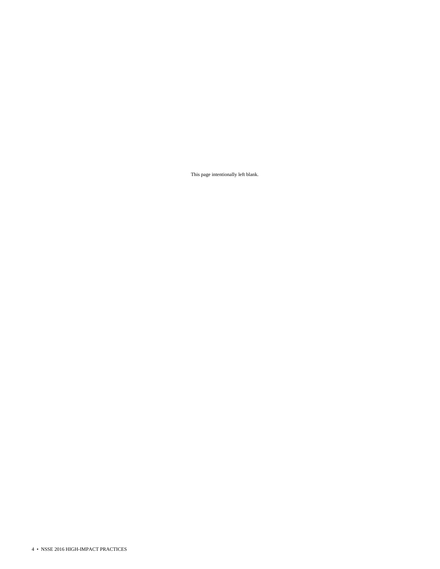This page intentionally left blank.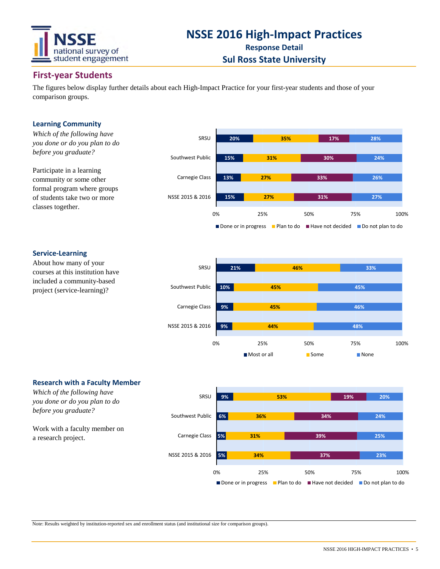

**Sul Ross State University Response Detail**

■ Most or all None None

## **First-year Students**

The figures below display further details about each High-Impact Practice for your first-year students and those of your comparison groups.

## **Learning Community**



### **Service-Learning**



### **Research with a Faculty Member**



Note: Results weighted by institution-reported sex and enrollment status (and institutional size for comparison groups).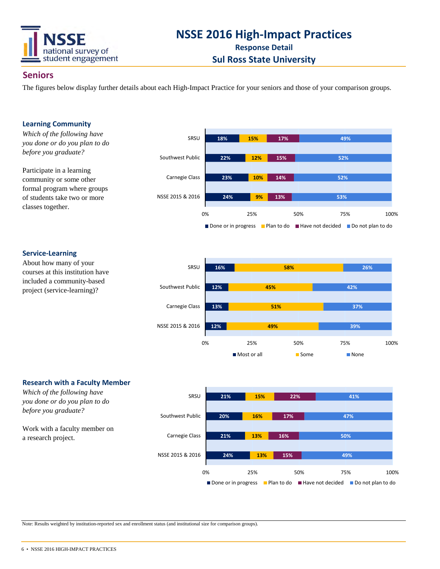

**Response Detail**

## **Sul Ross State University**

## **Seniors**

The figures below display further details about each High-Impact Practice for your seniors and those of your comparison groups.

## **Learning Community**

*Which of the following have you done or do you plan to do before you graduate?* 

Participate in a learning community or some other formal program where groups of students take two or more classes together.



## **Service-Learning**

About how many of your courses at this institution have included a community-based project (service-learning)?



### **Research with a Faculty Member**



Note: Results weighted by institution-reported sex and enrollment status (and institutional size for comparison groups).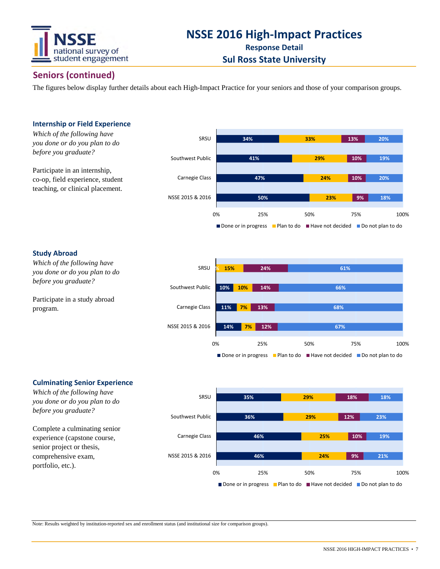

**Sul Ross State University Response Detail**

## **Seniors (continued)**

The figures below display further details about each High-Impact Practice for your seniors and those of your comparison groups.

## **Internship or Field Experience**



### **Study Abroad**



### **Culminating Senior Experience**



Note: Results weighted by institution-reported sex and enrollment status (and institutional size for comparison groups).